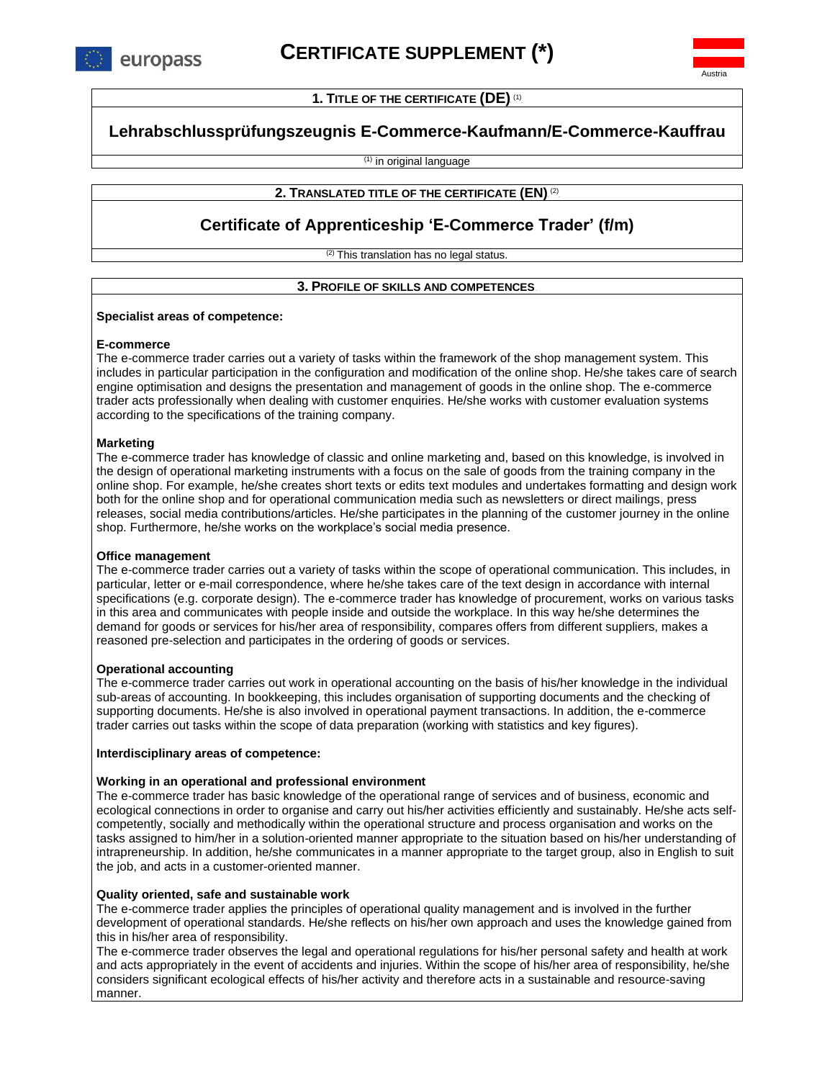

**1. TITLE OF THE CERTIFICATE (DE). (1)** 

Austria

# **Lehrabschlussprüfungszeugnis E-Commerce-Kaufmann/E-Commerce-Kauffrau**

(1) in original language

## **2. T**RANSLATED TITLE OF THE CERTIFICATE (EN). <sup>(2)</sup>

# **Certificate of Apprenticeship 'E-Commerce Trader' (f/m)**

<sup>(2)</sup> This translation has no legal status.

## **3. PROFILE OF SKILLS AND COMPETENCES <sup>P</sup>**

#### **Specialist areas of competence:**

#### **E-commerce**

The e-commerce trader carries out a variety of tasks within the framework of the shop management system. This includes in particular participation in the configuration and modification of the online shop. He/she takes care of search engine optimisation and designs the presentation and management of goods in the online shop. The e-commerce trader acts professionally when dealing with customer enquiries. He/she works with customer evaluation systems according to the specifications of the training company.

### **Marketing**

The e-commerce trader has knowledge of classic and online marketing and, based on this knowledge, is involved in the design of operational marketing instruments with a focus on the sale of goods from the training company in the online shop. For example, he/she creates short texts or edits text modules and undertakes formatting and design work both for the online shop and for operational communication media such as newsletters or direct mailings, press releases, social media contributions/articles. He/she participates in the planning of the customer journey in the online shop. Furthermore, he/she works on the workplace's social media presence.

#### **Office management**

The e-commerce trader carries out a variety of tasks within the scope of operational communication. This includes, in particular, letter or e-mail correspondence, where he/she takes care of the text design in accordance with internal specifications (e.g. corporate design). The e-commerce trader has knowledge of procurement, works on various tasks in this area and communicates with people inside and outside the workplace. In this way he/she determines the demand for goods or services for his/her area of responsibility, compares offers from different suppliers, makes a reasoned pre-selection and participates in the ordering of goods or services.

#### **Operational accounting**

The e-commerce trader carries out work in operational accounting on the basis of his/her knowledge in the individual sub-areas of accounting. In bookkeeping, this includes organisation of supporting documents and the checking of supporting documents. He/she is also involved in operational payment transactions. In addition, the e-commerce trader carries out tasks within the scope of data preparation (working with statistics and key figures).

#### **Interdisciplinary areas of competence:**

#### **Working in an operational and professional environment**

The e-commerce trader has basic knowledge of the operational range of services and of business, economic and ecological connections in order to organise and carry out his/her activities efficiently and sustainably. He/she acts selfcompetently, socially and methodically within the operational structure and process organisation and works on the tasks assigned to him/her in a solution-oriented manner appropriate to the situation based on his/her understanding of intrapreneurship. In addition, he/she communicates in a manner appropriate to the target group, also in English to suit the job, and acts in a customer-oriented manner.

#### **Quality oriented, safe and sustainable work**

The e-commerce trader applies the principles of operational quality management and is involved in the further development of operational standards. He/she reflects on his/her own approach and uses the knowledge gained from this in his/her area of responsibility.

The e-commerce trader observes the legal and operational regulations for his/her personal safety and health at work and acts appropriately in the event of accidents and injuries. Within the scope of his/her area of responsibility, he/she considers significant ecological effects of his/her activity and therefore acts in a sustainable and resource-saving manner.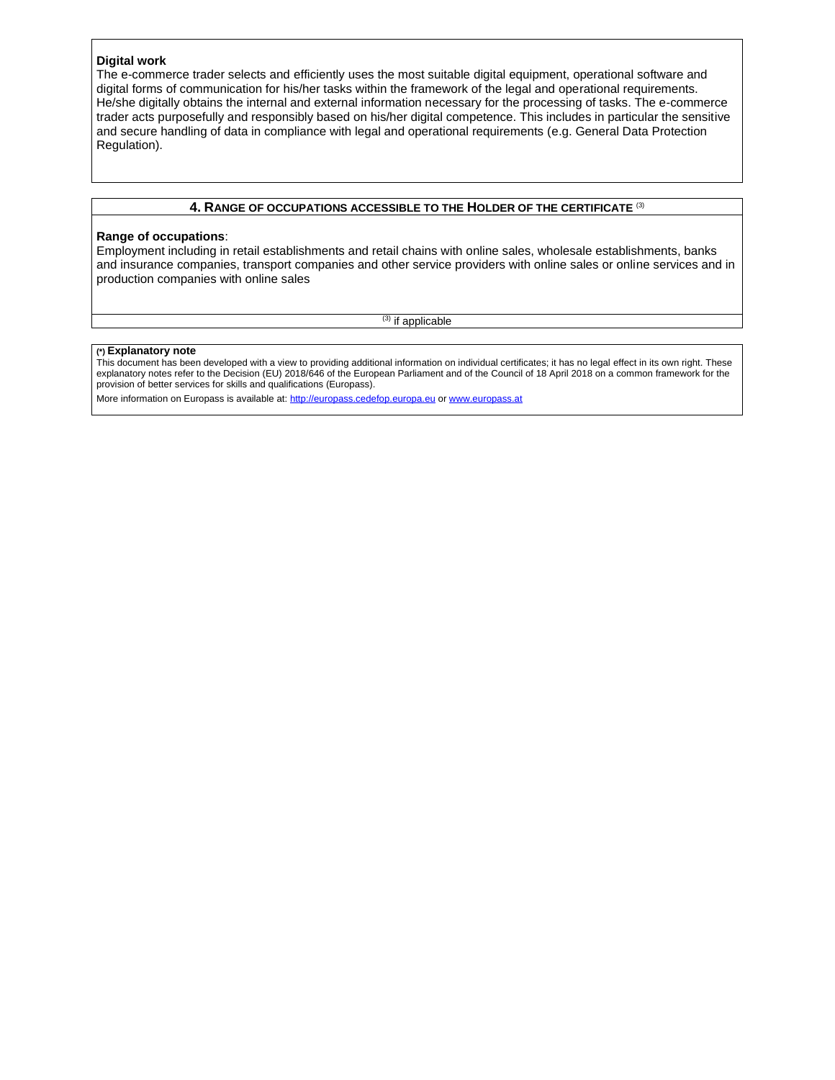#### **Digital work**

The e-commerce trader selects and efficiently uses the most suitable digital equipment, operational software and digital forms of communication for his/her tasks within the framework of the legal and operational requirements. He/she digitally obtains the internal and external information necessary for the processing of tasks. The e-commerce trader acts purposefully and responsibly based on his/her digital competence. This includes in particular the sensitive and secure handling of data in compliance with legal and operational requirements (e.g. General Data Protection Regulation).

#### **4. RANGE OF OCCUPATIONS ACCESSIBLE TO THE HOLDER OF THE CERTIFICATE** (3)

#### **Range of occupations**:

Employment including in retail establishments and retail chains with online sales, wholesale establishments, banks and insurance companies, transport companies and other service providers with online sales or online services and in production companies with online sales

(3) if applicable

#### **(\*) Explanatory note**

This document has been developed with a view to providing additional information on individual certificates; it has no legal effect in its own right. These explanatory notes refer to the Decision (EU) 2018/646 of the European Parliament and of the Council of 18 April 2018 on a common framework for the provision of better services for skills and qualifications (Europass).

More information on Europass is available at: [http://europass.cedefop.europa.eu](http://europass.cedefop.europa.eu/) o[r www.europass.at](http://www.europass.at/)